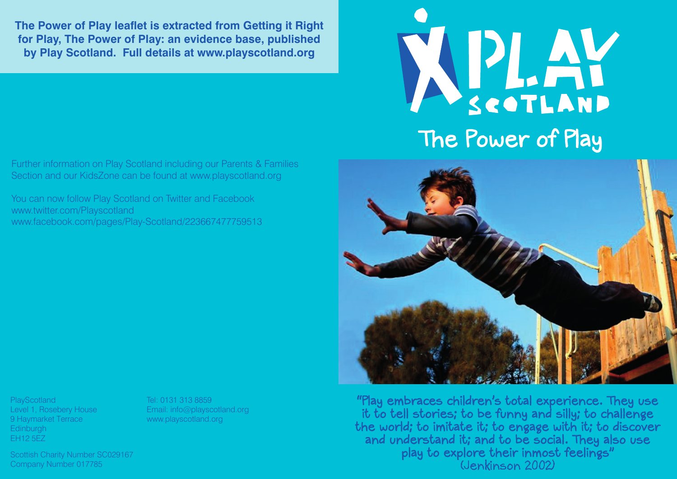**The Power of Play leaflet is extracted from Getting it Right for Play, The Power of Play: an evidence base, published by Play Scotland. Full details at www.playscotland.org**

WELAY The Power of Play

Further information on Play Scotland including our Parents & Families Section and our KidsZone can be found at www.playscotland.org

You can now follow Play Scotland on Twitter and Facebook www.twitter.com/Playscotland www.facebook.com/pages/Play-Scotland/223667477759513



"Play embraces children's total experience. They use it to tell stories; to be funny and silly; to challenge the world; to imitate it; to engage with it; to discover and understand it; and to be social. They also use play to explore their inmost feelings" (Jenkinson 2002)

**PlayScotland** Level 1, Rosebery House 9 Haymarket Terrace **Edinburgh** EH12 5EZ

Tel: 0131 313 8859 Email: info@playscotland.org www.playscotland.org

Scottish Charity Number SC029167 Company Number 017785